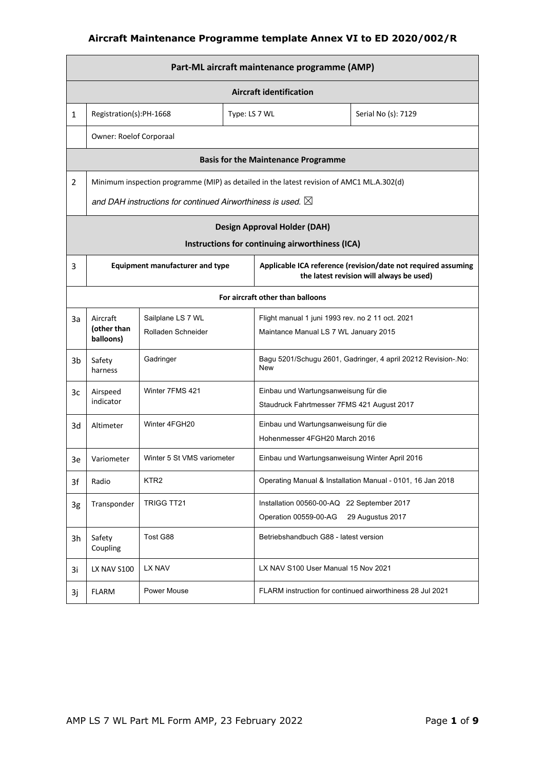|                                  | Part-ML aircraft maintenance programme (AMP) |                                                                       |  |                                                                                           |                                                                                                           |  |  |
|----------------------------------|----------------------------------------------|-----------------------------------------------------------------------|--|-------------------------------------------------------------------------------------------|-----------------------------------------------------------------------------------------------------------|--|--|
|                                  | <b>Aircraft identification</b>               |                                                                       |  |                                                                                           |                                                                                                           |  |  |
| $\mathbf{1}$                     | Registration(s):PH-1668<br>Type: LS 7 WL     |                                                                       |  |                                                                                           | Serial No (s): 7129                                                                                       |  |  |
|                                  | Owner: Roelof Corporaal                      |                                                                       |  |                                                                                           |                                                                                                           |  |  |
|                                  |                                              |                                                                       |  | <b>Basis for the Maintenance Programme</b>                                                |                                                                                                           |  |  |
| $\overline{2}$                   |                                              |                                                                       |  | Minimum inspection programme (MIP) as detailed in the latest revision of AMC1 ML.A.302(d) |                                                                                                           |  |  |
|                                  |                                              | and DAH instructions for continued Airworthiness is used. $\boxtimes$ |  |                                                                                           |                                                                                                           |  |  |
|                                  |                                              |                                                                       |  | <b>Design Approval Holder (DAH)</b>                                                       |                                                                                                           |  |  |
|                                  |                                              |                                                                       |  | Instructions for continuing airworthiness (ICA)                                           |                                                                                                           |  |  |
| 3                                |                                              | <b>Equipment manufacturer and type</b>                                |  |                                                                                           | Applicable ICA reference (revision/date not required assuming<br>the latest revision will always be used) |  |  |
| For aircraft other than balloons |                                              |                                                                       |  |                                                                                           |                                                                                                           |  |  |
| За                               | Aircraft<br>(other than<br>balloons)         | Sailplane LS 7 WL<br>Rolladen Schneider                               |  | Flight manual 1 juni 1993 rev. no 2 11 oct. 2021<br>Maintance Manual LS 7 WL January 2015 |                                                                                                           |  |  |
| 3b                               | Safety<br>harness                            | Gadringer                                                             |  | New                                                                                       | Bagu 5201/Schugu 2601, Gadringer, 4 april 20212 Revision-. No:                                            |  |  |
| Зc                               | Airspeed<br>indicator                        | Winter 7FMS 421                                                       |  | Einbau und Wartungsanweisung für die<br>Staudruck Fahrtmesser 7FMS 421 August 2017        |                                                                                                           |  |  |
| 3d                               | Altimeter                                    | Winter 4FGH20                                                         |  | Einbau und Wartungsanweisung für die<br>Hohenmesser 4FGH20 March 2016                     |                                                                                                           |  |  |
| 3e                               | Variometer                                   | Winter 5 St VMS variometer                                            |  | Einbau und Wartungsanweisung Winter April 2016                                            |                                                                                                           |  |  |
| 3f                               | Radio                                        | KTR <sub>2</sub>                                                      |  |                                                                                           | Operating Manual & Installation Manual - 0101, 16 Jan 2018                                                |  |  |
| 3g                               | Transponder                                  | TRIGG TT21                                                            |  | Installation 00560-00-AQ 22 September 2017<br>Operation 00559-00-AG                       | 29 Augustus 2017                                                                                          |  |  |
| 3h                               | Safety<br>Coupling                           | Tost G88                                                              |  | Betriebshandbuch G88 - latest version                                                     |                                                                                                           |  |  |
| 3i                               | LX NAV S100                                  | LX NAV                                                                |  | LX NAV S100 User Manual 15 Nov 2021                                                       |                                                                                                           |  |  |
| 3j                               | <b>FLARM</b>                                 | Power Mouse                                                           |  |                                                                                           | FLARM instruction for continued airworthiness 28 Jul 2021                                                 |  |  |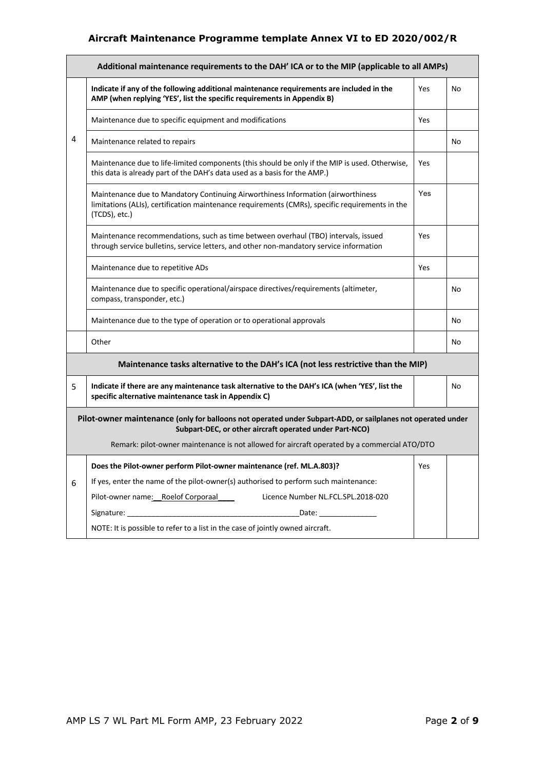|   | Additional maintenance requirements to the DAH' ICA or to the MIP (applicable to all AMPs)                                                                                                           |     |    |  |  |  |  |
|---|------------------------------------------------------------------------------------------------------------------------------------------------------------------------------------------------------|-----|----|--|--|--|--|
|   | Indicate if any of the following additional maintenance requirements are included in the<br>AMP (when replying 'YES', list the specific requirements in Appendix B)                                  | Yes | No |  |  |  |  |
|   | Maintenance due to specific equipment and modifications                                                                                                                                              | Yes |    |  |  |  |  |
| 4 | Maintenance related to repairs                                                                                                                                                                       |     | No |  |  |  |  |
|   | Maintenance due to life-limited components (this should be only if the MIP is used. Otherwise,<br>this data is already part of the DAH's data used as a basis for the AMP.)                          | Yes |    |  |  |  |  |
|   | Maintenance due to Mandatory Continuing Airworthiness Information (airworthiness<br>limitations (ALIs), certification maintenance requirements (CMRs), specific requirements in the<br>(TCDS), etc.) | Yes |    |  |  |  |  |
|   | Maintenance recommendations, such as time between overhaul (TBO) intervals, issued<br>through service bulletins, service letters, and other non-mandatory service information                        | Yes |    |  |  |  |  |
|   | Maintenance due to repetitive ADs                                                                                                                                                                    | Yes |    |  |  |  |  |
|   | Maintenance due to specific operational/airspace directives/requirements (altimeter,<br>compass, transponder, etc.)                                                                                  |     | No |  |  |  |  |
|   | Maintenance due to the type of operation or to operational approvals                                                                                                                                 |     | No |  |  |  |  |
|   | Other                                                                                                                                                                                                |     | No |  |  |  |  |
|   | Maintenance tasks alternative to the DAH's ICA (not less restrictive than the MIP)                                                                                                                   |     |    |  |  |  |  |
| 5 | Indicate if there are any maintenance task alternative to the DAH's ICA (when 'YES', list the<br>specific alternative maintenance task in Appendix C)                                                |     | No |  |  |  |  |
|   | Pilot-owner maintenance (only for balloons not operated under Subpart-ADD, or sailplanes not operated under<br>Subpart-DEC, or other aircraft operated under Part-NCO)                               |     |    |  |  |  |  |
|   | Remark: pilot-owner maintenance is not allowed for aircraft operated by a commercial ATO/DTO                                                                                                         |     |    |  |  |  |  |
|   | Does the Pilot-owner perform Pilot-owner maintenance (ref. ML.A.803)?                                                                                                                                | Yes |    |  |  |  |  |
| 6 | If yes, enter the name of the pilot-owner(s) authorised to perform such maintenance:                                                                                                                 |     |    |  |  |  |  |
|   | Pilot-owner name: Roelof Corporaal<br>Licence Number NL.FCL.SPL.2018-020                                                                                                                             |     |    |  |  |  |  |
|   | Date: $\qquad \qquad$                                                                                                                                                                                |     |    |  |  |  |  |
|   | NOTE: It is possible to refer to a list in the case of jointly owned aircraft.                                                                                                                       |     |    |  |  |  |  |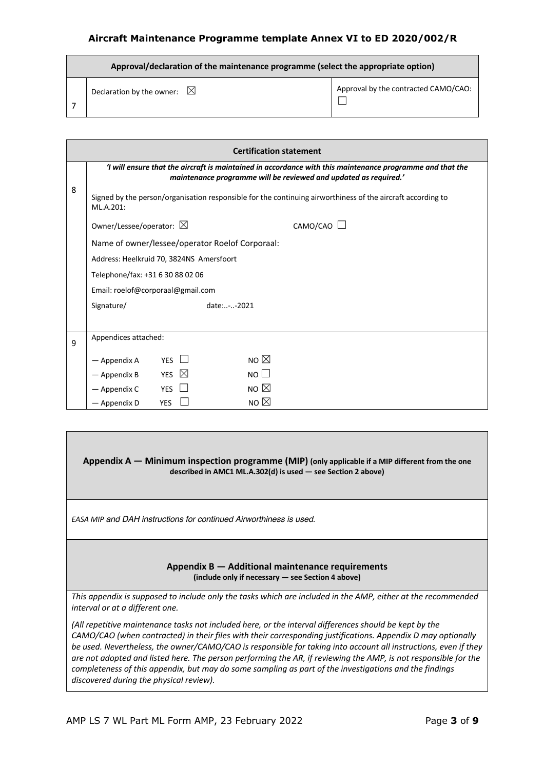| Approval/declaration of the maintenance programme (select the appropriate option) |                                      |  |  |  |
|-----------------------------------------------------------------------------------|--------------------------------------|--|--|--|
| Declaration by the owner: $\boxtimes$                                             | Approval by the contracted CAMO/CAO: |  |  |  |

|   | <b>Certification statement</b>           |                    |                                                                                                                                                                               |  |  |  |
|---|------------------------------------------|--------------------|-------------------------------------------------------------------------------------------------------------------------------------------------------------------------------|--|--|--|
|   |                                          |                    | 'I will ensure that the aircraft is maintained in accordance with this maintenance programme and that the<br>maintenance programme will be reviewed and updated as required.' |  |  |  |
| 8 | ML.A.201:                                |                    | Signed by the person/organisation responsible for the continuing airworthiness of the aircraft according to                                                                   |  |  |  |
|   | Owner/Lessee/operator: $\boxtimes$       |                    | CAMO/CAO                                                                                                                                                                      |  |  |  |
|   |                                          |                    | Name of owner/lessee/operator Roelof Corporaal:                                                                                                                               |  |  |  |
|   | Address: Heelkruid 70, 3824NS Amersfoort |                    |                                                                                                                                                                               |  |  |  |
|   | Telephone/fax: +31 6 30 88 02 06         |                    |                                                                                                                                                                               |  |  |  |
|   | Email: roelof@corporaal@gmail.com        |                    |                                                                                                                                                                               |  |  |  |
|   | Signature/                               |                    | date:--2021                                                                                                                                                                   |  |  |  |
|   |                                          |                    |                                                                                                                                                                               |  |  |  |
| 9 | Appendices attached:                     |                    |                                                                                                                                                                               |  |  |  |
|   | - Appendix A                             | YES                | NO $\boxtimes$                                                                                                                                                                |  |  |  |
|   | - Appendix B                             | $\boxtimes$<br>YES | NOLI                                                                                                                                                                          |  |  |  |
|   | — Appendix C                             | <b>YES</b>         | NO $\boxtimes$                                                                                                                                                                |  |  |  |
|   | — Appendix D                             | <b>YES</b>         | NO $\boxtimes$                                                                                                                                                                |  |  |  |

#### **Appendix A — Minimum inspection programme (MIP) (only applicable if a MIP different from the one described in AMC1 ML.A.302(d) is used — see Section 2 above)**

*EASA MIP and DAH instructions for continued Airworthiness is used.*

#### **Appendix B — Additional maintenance requirements (include only if necessary — see Section 4 above)**

*This appendix is supposed to include only the tasks which are included in the AMP, either at the recommended interval or at a different one.* 

*(All repetitive maintenance tasks not included here, or the interval differences should be kept by the CAMO/CAO (when contracted) in their files with their corresponding justifications. Appendix D may optionally be used. Nevertheless, the owner/CAMO/CAO is responsible for taking into account all instructions, even if they are not adopted and listed here. The person performing the AR, if reviewing the AMP, is not responsible for the completeness of this appendix, but may do some sampling as part of the investigations and the findings discovered during the physical review).*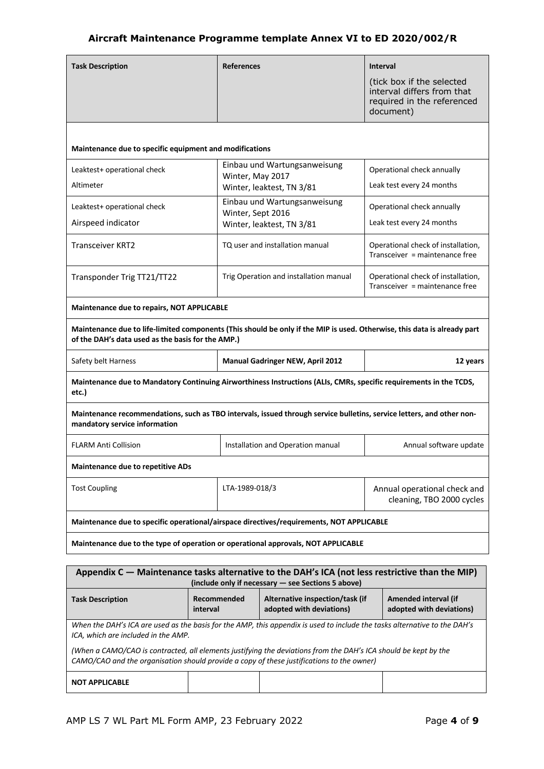| <b>Task Description</b>                                                                                                                                                       | <b>References</b> |                                                    | <b>Interval</b>                                                      |  |
|-------------------------------------------------------------------------------------------------------------------------------------------------------------------------------|-------------------|----------------------------------------------------|----------------------------------------------------------------------|--|
|                                                                                                                                                                               |                   |                                                    | (tick box if the selected<br>interval differs from that              |  |
|                                                                                                                                                                               |                   |                                                    | required in the referenced<br>document)                              |  |
|                                                                                                                                                                               |                   |                                                    |                                                                      |  |
|                                                                                                                                                                               |                   |                                                    |                                                                      |  |
| Maintenance due to specific equipment and modifications                                                                                                                       |                   |                                                    |                                                                      |  |
| Leaktest+ operational check                                                                                                                                                   |                   | Einbau und Wartungsanweisung                       | Operational check annually                                           |  |
| Altimeter                                                                                                                                                                     | Winter, May 2017  | Winter, leaktest, TN 3/81                          | Leak test every 24 months                                            |  |
| Leaktest+ operational check                                                                                                                                                   |                   | Einbau und Wartungsanweisung                       | Operational check annually                                           |  |
| Airspeed indicator                                                                                                                                                            | Winter, Sept 2016 |                                                    | Leak test every 24 months                                            |  |
|                                                                                                                                                                               |                   | Winter, leaktest, TN 3/81                          |                                                                      |  |
| <b>Transceiver KRT2</b>                                                                                                                                                       |                   | TQ user and installation manual                    | Operational check of installation,<br>Transceiver = maintenance free |  |
|                                                                                                                                                                               |                   |                                                    |                                                                      |  |
| Transponder Trig TT21/TT22                                                                                                                                                    |                   | Trig Operation and installation manual             | Operational check of installation,<br>Transceiver = maintenance free |  |
|                                                                                                                                                                               |                   |                                                    |                                                                      |  |
| Maintenance due to repairs, NOT APPLICABLE                                                                                                                                    |                   |                                                    |                                                                      |  |
| Maintenance due to life-limited components (This should be only if the MIP is used. Otherwise, this data is already part<br>of the DAH's data used as the basis for the AMP.) |                   |                                                    |                                                                      |  |
| Safety belt Harness<br><b>Manual Gadringer NEW, April 2012</b><br>12 years                                                                                                    |                   |                                                    |                                                                      |  |
| Maintenance due to Mandatory Continuing Airworthiness Instructions (ALIs, CMRs, specific requirements in the TCDS,<br>etc.)                                                   |                   |                                                    |                                                                      |  |
| Maintenance recommendations, such as TBO intervals, issued through service bulletins, service letters, and other non-<br>mandatory service information                        |                   |                                                    |                                                                      |  |
| <b>FLARM Anti Collision</b>                                                                                                                                                   |                   | Installation and Operation manual                  | Annual software update                                               |  |
| <b>Maintenance due to repetitive ADs</b>                                                                                                                                      |                   |                                                    |                                                                      |  |
| <b>Tost Coupling</b>                                                                                                                                                          | LTA-1989-018/3    |                                                    | Annual operational check and                                         |  |
|                                                                                                                                                                               |                   |                                                    | cleaning, TBO 2000 cycles                                            |  |
| Maintenance due to specific operational/airspace directives/requirements, NOT APPLICABLE                                                                                      |                   |                                                    |                                                                      |  |
| Maintenance due to the type of operation or operational approvals, NOT APPLICABLE                                                                                             |                   |                                                    |                                                                      |  |
|                                                                                                                                                                               |                   |                                                    |                                                                      |  |
| Appendix C - Maintenance tasks alternative to the DAH's ICA (not less restrictive than the MIP)                                                                               |                   | (include only if necessary - see Sections 5 above) |                                                                      |  |
| <b>Task Description</b>                                                                                                                                                       | Recommended       | Alternative inspection/task (if                    | Amended interval (if                                                 |  |
| interval                                                                                                                                                                      |                   | adopted with deviations)                           | adopted with deviations)                                             |  |
| When the DAH's ICA are used as the basis for the AMP, this appendix is used to include the tasks alternative to the DAH's                                                     |                   |                                                    |                                                                      |  |

*(When a CAMO/CAO is contracted, all elements justifying the deviations from the DAH's ICA should be kept by the CAMO/CAO and the organisation should provide a copy of these justifications to the owner)*

**NOT APPLICABLE**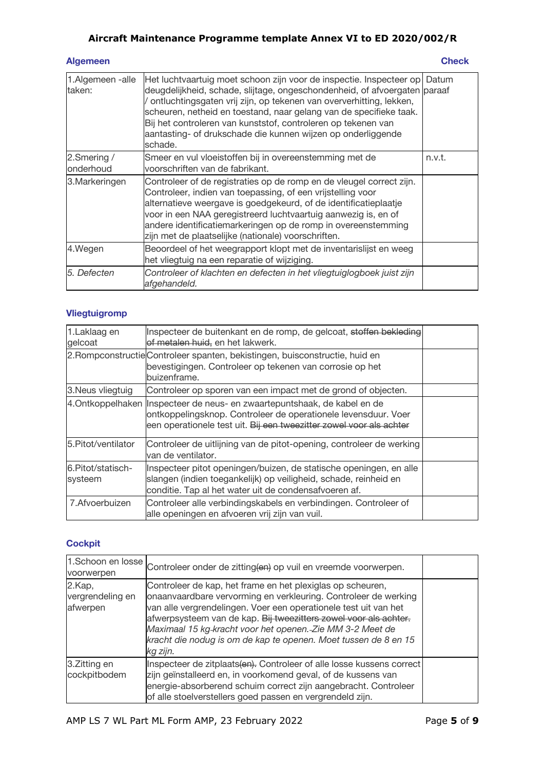| <b>Algemeen</b> | <b>Check</b> |
|-----------------|--------------|
|                 |              |

| 1.Algemeen -alle<br>taken: | Het luchtvaartuig moet schoon zijn voor de inspectie. Inspecteer op<br>deugdelijkheid, schade, slijtage, ongeschondenheid, of afvoergaten paraaf<br>ontluchtingsgaten vrij zijn, op tekenen van oververhitting, lekken,<br>scheuren, netheid en toestand, naar gelang van de specifieke taak.<br>Bij het controleren van kunststof, controleren op tekenen van<br>aantasting- of drukschade die kunnen wijzen op onderliggende<br>schade. | Datum  |
|----------------------------|-------------------------------------------------------------------------------------------------------------------------------------------------------------------------------------------------------------------------------------------------------------------------------------------------------------------------------------------------------------------------------------------------------------------------------------------|--------|
| 2.Smering /<br>onderhoud   | Smeer en vul vloeistoffen bij in overeenstemming met de<br>voorschriften van de fabrikant.                                                                                                                                                                                                                                                                                                                                                | n.v.t. |
| 3. Markeringen             | Controleer of de registraties op de romp en de vleugel correct zijn.<br>Controleer, indien van toepassing, of een vrijstelling voor<br>alternatieve weergave is goedgekeurd, of de identificatieplaatje<br>voor in een NAA geregistreerd luchtvaartuig aanwezig is, en of<br>andere identificatiemarkeringen op de romp in overeenstemming<br>zijn met de plaatselijke (nationale) voorschriften.                                         |        |
| 4.Wegen                    | Beoordeel of het weegrapport klopt met de inventarislijst en weeg<br>het vliegtuig na een reparatie of wijziging.                                                                                                                                                                                                                                                                                                                         |        |
| 5. Defecten                | Controleer of klachten en defecten in het vliegtuiglogboek juist zijn<br>afgehandeld.                                                                                                                                                                                                                                                                                                                                                     |        |

## **Vliegtuigromp**

| 1.Laklaag en<br>gelcoat      | Inspecteer de buitenkant en de romp, de gelcoat, stoffen bekleding<br>of metalen huid, en het lakwerk.                                                                                                             |  |
|------------------------------|--------------------------------------------------------------------------------------------------------------------------------------------------------------------------------------------------------------------|--|
|                              | 2. Rompconstructie Controleer spanten, bekistingen, buisconstructie, huid en<br>bevestigingen. Controleer op tekenen van corrosie op het<br>buizenframe.                                                           |  |
| 3. Neus vliegtuig            | Controleer op sporen van een impact met de grond of objecten.                                                                                                                                                      |  |
|                              | 4. Ontkoppelhaken Inspecteer de neus- en zwaartepuntshaak, de kabel en de<br>ontkoppelingsknop. Controleer de operationele levensduur. Voer<br>een operationele test uit. Bij een tweezitter zowel voor als achter |  |
| 5. Pitot/ventilator          | Controleer de uitlijning van de pitot-opening, controleer de werking<br>van de ventilator.                                                                                                                         |  |
| 6.Pitot/statisch-<br>systeem | Inspecteer pitot openingen/buizen, de statische openingen, en alle<br>slangen (indien toegankelijk) op veiligheid, schade, reinheid en<br>conditie. Tap al het water uit de condensafvoeren af.                    |  |
| 7. Afvoerbuizen              | Controleer alle verbindingskabels en verbindingen. Controleer of<br>alle openingen en afvoeren vrij zijn van vuil.                                                                                                 |  |

#### **Cockpit**

|                                        | 1.Schoon en losse Controleer onder de zitting(en) op vuil en vreemde voorwerpen.                                                                                                                                                                                                                                                                                                                                  |  |
|----------------------------------------|-------------------------------------------------------------------------------------------------------------------------------------------------------------------------------------------------------------------------------------------------------------------------------------------------------------------------------------------------------------------------------------------------------------------|--|
| 2.Kap,<br>vergrendeling en<br>afwerpen | Controleer de kap, het frame en het plexiglas op scheuren,<br>onaanvaardbare vervorming en verkleuring. Controleer de werking<br>van alle vergrendelingen. Voer een operationele test uit van het<br>afwerpsysteem van de kap. Bij tweezitters zowel voor als achter.<br>Maximaal 15 kg-kracht voor het openen. Zie MM 3-2 Meet de<br>kracht die nodug is om de kap te openen. Moet tussen de 8 en 15<br>kg zijn. |  |
| 3.Zitting en<br>cockpitbodem           | Inspecteer de zitplaats(en). Controleer of alle losse kussens correct<br>zijn geïnstalleerd en, in voorkomend geval, of de kussens van<br>energie-absorberend schuim correct zijn aangebracht. Controleer<br>of alle stoelverstellers goed passen en vergrendeld zijn.                                                                                                                                            |  |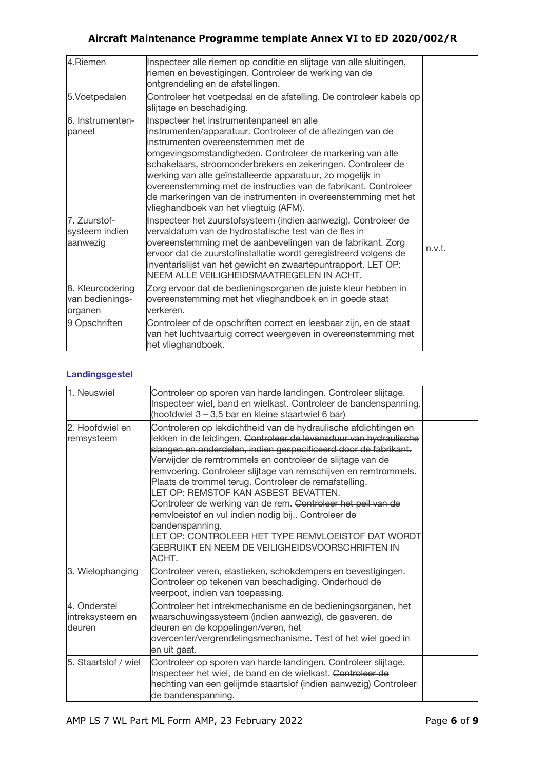| 4.Riemen                                       | Inspecteer alle riemen op conditie en slijtage van alle sluitingen,<br>riemen en bevestigingen. Controleer de werking van de<br>ontgrendeling en de afstellingen.                                                                                                                                                                                                                                                                                                                                                       |        |
|------------------------------------------------|-------------------------------------------------------------------------------------------------------------------------------------------------------------------------------------------------------------------------------------------------------------------------------------------------------------------------------------------------------------------------------------------------------------------------------------------------------------------------------------------------------------------------|--------|
| 5.Voetpedalen                                  | Controleer het voetpedaal en de afstelling. De controleer kabels op<br>slijtage en beschadiging.                                                                                                                                                                                                                                                                                                                                                                                                                        |        |
| 6. Instrumenten-<br>paneel                     | Inspecteer het instrumentenpaneel en alle<br>instrumenten/apparatuur. Controleer of de aflezingen van de<br>instrumenten overeenstemmen met de<br>omgevingsomstandigheden. Controleer de markering van alle<br>schakelaars, stroomonderbrekers en zekeringen. Controleer de<br>werking van alle geïnstalleerde apparatuur, zo mogelijk in<br>overeenstemming met de instructies van de fabrikant. Controleer<br>de markeringen van de instrumenten in overeenstemming met het<br>vlieghandboek van het vliegtuig (AFM). |        |
| 7. Zuurstof-<br>systeem indien<br>aanwezig     | Inspecteer het zuurstofsysteem (indien aanwezig). Controleer de<br>vervaldatum van de hydrostatische test van de fles in<br>overeenstemming met de aanbevelingen van de fabrikant. Zorg<br>ervoor dat de zuurstofinstallatie wordt geregistreerd volgens de<br>inventarislijst van het gewicht en zwaartepuntrapport. LET OP:<br>NEEM ALLE VEILIGHEIDSMAATREGELEN IN ACHT.                                                                                                                                              | n.v.t. |
| 8. Kleurcodering<br>van bedienings-<br>organen | Zorg ervoor dat de bedieningsorganen de juiste kleur hebben in<br>overeenstemming met het vlieghandboek en in goede staat<br>verkeren.                                                                                                                                                                                                                                                                                                                                                                                  |        |
| 9 Opschriften                                  | Controleer of de opschriften correct en leesbaar zijn, en de staat<br>van het luchtvaartuig correct weergeven in overeenstemming met<br>het vlieghandboek.                                                                                                                                                                                                                                                                                                                                                              |        |

## **Landingsgestel**

| 1. Neuswiel                                | Controleer op sporen van harde landingen. Controleer slijtage.<br>Inspecteer wiel, band en wielkast. Controleer de bandenspanning.<br>(hoofdwiel 3 - 3,5 bar en kleine staartwiel 6 bar)                                                                                                                                                                                                                                                                                                                                                                                                                                                                                                                       |  |
|--------------------------------------------|----------------------------------------------------------------------------------------------------------------------------------------------------------------------------------------------------------------------------------------------------------------------------------------------------------------------------------------------------------------------------------------------------------------------------------------------------------------------------------------------------------------------------------------------------------------------------------------------------------------------------------------------------------------------------------------------------------------|--|
| 2. Hoofdwiel en<br>remsysteem              | Controleren op lekdichtheid van de hydraulische afdichtingen en<br>lekken in de leidingen. <del>Controleer de levensduur van hydraulische</del><br>slangen en onderdelen, indien gespecificeerd door de fabrikant.<br>Verwijder de remtrommels en controleer de slijtage van de<br>remvoering. Controleer slijtage van remschijven en remtrommels.<br>Plaats de trommel terug. Controleer de remafstelling.<br>LET OP: REMSTOF KAN ASBEST BEVATTEN.<br>Controleer de werking van de rem. Controleer het peil van de<br>remvloeistof en vul indien nodig bij Controleer de<br>bandenspanning.<br>LET OP: CONTROLEER HET TYPE REMVLOEISTOF DAT WORDT<br>GEBRUIKT EN NEEM DE VEILIGHEIDSVOORSCHRIFTEN IN<br>ACHT. |  |
| 3. Wielophanging                           | Controleer veren, elastieken, schokdempers en bevestigingen.<br>Controleer op tekenen van beschadiging. Onderhoud de<br>veerpoot, indien van toepassing.                                                                                                                                                                                                                                                                                                                                                                                                                                                                                                                                                       |  |
| 4. Onderstel<br>intreksysteem en<br>deuren | Controleer het intrekmechanisme en de bedieningsorganen, het<br>waarschuwingssysteem (indien aanwezig), de gasveren, de<br>deuren en de koppelingen/veren, het<br>overcenter/vergrendelingsmechanisme. Test of het wiel goed in<br>en uit gaat.                                                                                                                                                                                                                                                                                                                                                                                                                                                                |  |
| 5. Staartslof / wiel                       | Controleer op sporen van harde landingen. Controleer slijtage.<br>Inspecteer het wiel, de band en de wielkast. Controleer de<br>hechting van een gelijmde staartslof (indien aanwezig) Controleer<br>de bandenspanning.                                                                                                                                                                                                                                                                                                                                                                                                                                                                                        |  |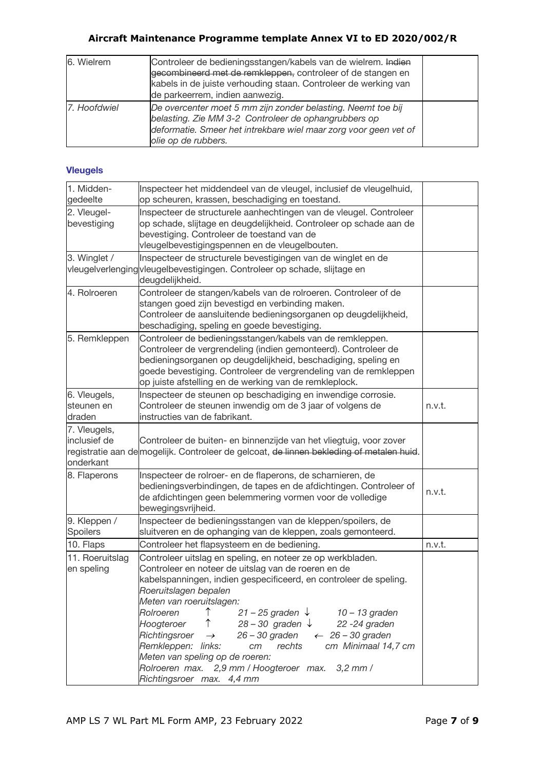| 6. Wielrem   | Controleer de bedieningsstangen/kabels van de wielrem. Indien<br>gecombineerd met de remkleppen, controleer of de stangen en<br>kabels in de juiste verhouding staan. Controleer de werking van<br>de parkeerrem, indien aanwezig. |  |
|--------------|------------------------------------------------------------------------------------------------------------------------------------------------------------------------------------------------------------------------------------|--|
| 7. Hoofdwiel | De overcenter moet 5 mm zijn zonder belasting. Neemt toe bij<br>belasting. Zie MM 3-2 Controleer de ophangrubbers op<br>deformatie. Smeer het intrekbare wiel maar zorg voor geen vet of<br>olie op de rubbers.                    |  |

#### **Vleugels**

| 1. Midden-<br>gedeelte                    | Inspecteer het middendeel van de vleugel, inclusief de vleugelhuid,<br>op scheuren, krassen, beschadiging en toestand.                                                                                                                                                                                                                                                                                                                                                                                                                                                                                                        |        |
|-------------------------------------------|-------------------------------------------------------------------------------------------------------------------------------------------------------------------------------------------------------------------------------------------------------------------------------------------------------------------------------------------------------------------------------------------------------------------------------------------------------------------------------------------------------------------------------------------------------------------------------------------------------------------------------|--------|
| 2. Vleugel-<br>bevestiging                | Inspecteer de structurele aanhechtingen van de vleugel. Controleer<br>op schade, slijtage en deugdelijkheid. Controleer op schade aan de<br>bevestiging. Controleer de toestand van de<br>vleugelbevestigingspennen en de vleugelbouten.                                                                                                                                                                                                                                                                                                                                                                                      |        |
| 3. Winglet /                              | Inspecteer de structurele bevestigingen van de winglet en de<br>vleugelverlengingvleugelbevestigingen. Controleer op schade, slijtage en<br>deugdelijkheid.                                                                                                                                                                                                                                                                                                                                                                                                                                                                   |        |
| 4. Rolroeren                              | Controleer de stangen/kabels van de rolroeren. Controleer of de<br>stangen goed zijn bevestigd en verbinding maken.<br>Controleer de aansluitende bedieningsorganen op deugdelijkheid,<br>beschadiging, speling en goede bevestiging.                                                                                                                                                                                                                                                                                                                                                                                         |        |
| 5. Remkleppen                             | Controleer de bedieningsstangen/kabels van de remkleppen.<br>Controleer de vergrendeling (indien gemonteerd). Controleer de<br>bedieningsorganen op deugdelijkheid, beschadiging, speling en<br>goede bevestiging. Controleer de vergrendeling van de remkleppen<br>op juiste afstelling en de werking van de remkleplock.                                                                                                                                                                                                                                                                                                    |        |
| 6. Vleugels,<br>steunen en<br>draden      | Inspecteer de steunen op beschadiging en inwendige corrosie.<br>Controleer de steunen inwendig om de 3 jaar of volgens de<br>instructies van de fabrikant.                                                                                                                                                                                                                                                                                                                                                                                                                                                                    | n.v.t. |
| 7. Vleugels,<br>inclusief de<br>onderkant | Controleer de buiten- en binnenzijde van het vliegtuig, voor zover<br>registratie aan de mogelijk. Controleer de gelcoat, de linnen bekleding of metalen huid.                                                                                                                                                                                                                                                                                                                                                                                                                                                                |        |
| 8. Flaperons                              | Inspecteer de rolroer- en de flaperons, de scharnieren, de<br>bedieningsverbindingen, de tapes en de afdichtingen. Controleer of<br>de afdichtingen geen belemmering vormen voor de volledige<br>bewegingsvrijheid.                                                                                                                                                                                                                                                                                                                                                                                                           | n.v.t. |
| 9. Kleppen /<br>Spoilers                  | Inspecteer de bedieningsstangen van de kleppen/spoilers, de<br>sluitveren en de ophanging van de kleppen, zoals gemonteerd.                                                                                                                                                                                                                                                                                                                                                                                                                                                                                                   |        |
| 10. Flaps                                 | Controleer het flapsysteem en de bediening.                                                                                                                                                                                                                                                                                                                                                                                                                                                                                                                                                                                   | n.v.t. |
| 11. Roeruitslag<br>en speling             | Controleer uitslag en speling, en noteer ze op werkbladen.<br>Controleer en noteer de uitslag van de roeren en de<br>kabelspanningen, indien gespecificeerd, en controleer de speling.<br>Roeruitslagen bepalen<br>Meten van roeruitslagen:<br>↑<br>$21 - 25$ graden $\sqrt{ }$<br>Rolroeren<br>10 – 13 graden<br>↑<br>Hoogteroer<br>$28 - 30$ graden $\downarrow$<br>22 - 24 graden<br>$26 - 30$ graden<br>Richtingsroer<br>$\leftarrow$ 26 - 30 graden<br>$\rightarrow$<br>Remkleppen: links:<br>rechts<br>cm Minimaal 14,7 cm<br>cm<br>Meten van speling op de roeren:<br>Rolroeren max. 2,9 mm / Hoogteroer max. 3,2 mm / |        |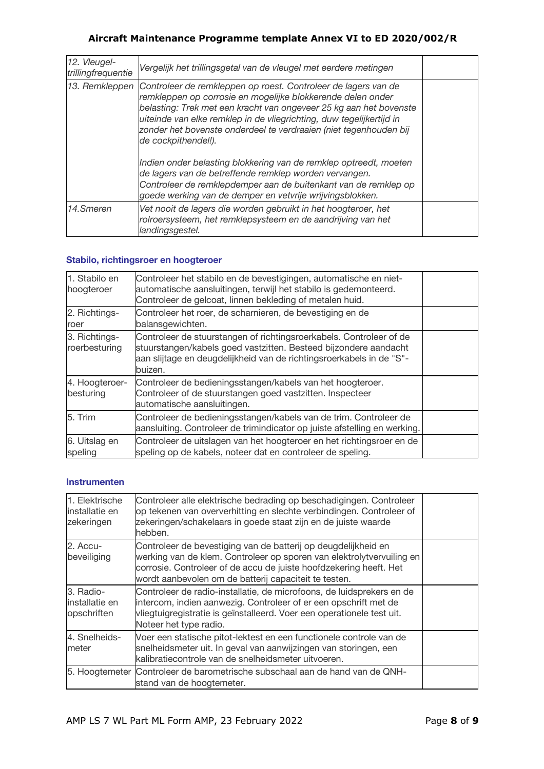| 12. Vleugel-<br>trillingfrequentie | Vergelijk het trillingsgetal van de vleugel met eerdere metingen                                                                                                                                                                                                                                                                                                        |  |
|------------------------------------|-------------------------------------------------------------------------------------------------------------------------------------------------------------------------------------------------------------------------------------------------------------------------------------------------------------------------------------------------------------------------|--|
| 13. Remkleppen                     | Controleer de remkleppen op roest. Controleer de lagers van de<br>remkleppen op corrosie en mogelijke blokkerende delen onder<br>belasting: Trek met een kracht van ongeveer 25 kg aan het bovenste<br>uiteinde van elke remklep in de vliegrichting, duw tegelijkertijd in<br>zonder het bovenste onderdeel te verdraaien (niet tegenhouden bij<br>de cockpithendel!). |  |
|                                    | Indien onder belasting blokkering van de remklep optreedt, moeten<br>de lagers van de betreffende remklep worden vervangen.<br>Controleer de remklepdemper aan de buitenkant van de remklep op<br>goede werking van de demper en vetvrije wrijvingsblokken.                                                                                                             |  |
| 14.Smeren                          | Vet nooit de lagers die worden gebruikt in het hoogteroer, het<br>rolroersysteem, het remklepsysteem en de aandrijving van het<br>landingsgestel.                                                                                                                                                                                                                       |  |

### **Stabilo, richtingsroer en hoogteroer**

| 1. Stabilo en<br>hoogteroer    | Controleer het stabilo en de bevestigingen, automatische en niet-<br>automatische aansluitingen, terwijl het stabilo is gedemonteerd.<br>Controleer de gelcoat, linnen bekleding of metalen huid.                          |  |
|--------------------------------|----------------------------------------------------------------------------------------------------------------------------------------------------------------------------------------------------------------------------|--|
| 2. Richtings-<br>roer          | Controleer het roer, de scharnieren, de bevestiging en de<br>balansgewichten.                                                                                                                                              |  |
| 3. Richtings-<br>roerbesturing | Controleer de stuurstangen of richtingsroerkabels. Controleer of de<br>stuurstangen/kabels goed vastzitten. Besteed bijzondere aandacht<br>aan slijtage en deugdelijkheid van de richtingsroerkabels in de "S"-<br>buizen. |  |
| 4. Hoogteroer-<br>besturing    | Controleer de bedieningsstangen/kabels van het hoogteroer.<br>Controleer of de stuurstangen goed vastzitten. Inspecteer<br>automatische aansluitingen.                                                                     |  |
| 5. Trim                        | Controleer de bedieningsstangen/kabels van de trim. Controleer de<br>aansluiting. Controleer de trimindicator op juiste afstelling en werking.                                                                             |  |
| 6. Uitslag en<br>speling       | Controleer de uitslagen van het hoogteroer en het richtingsroer en de<br>speling op de kabels, noteer dat en controleer de speling.                                                                                        |  |

#### **Instrumenten**

| 1. Elektrische<br>linstallatie en<br>zekeringen | Controleer alle elektrische bedrading op beschadigingen. Controleer<br>op tekenen van oververhitting en slechte verbindingen. Controleer of<br>zekeringen/schakelaars in goede staat zijn en de juiste waarde<br>hebben.                                               |  |
|-------------------------------------------------|------------------------------------------------------------------------------------------------------------------------------------------------------------------------------------------------------------------------------------------------------------------------|--|
| 2. Accu-<br>beveiliging                         | Controleer de bevestiging van de batterij op deugdelijkheid en<br>werking van de klem. Controleer op sporen van elektrolytvervuiling en<br>corrosie. Controleer of de accu de juiste hoofdzekering heeft. Het<br>wordt aanbevolen om de batterij capaciteit te testen. |  |
| 3. Radio-<br>installatie en<br>opschriften      | Controleer de radio-installatie, de microfoons, de luidsprekers en de<br>intercom, indien aanwezig. Controleer of er een opschrift met de<br>vliegtuigregistratie is geïnstalleerd. Voer een operationele test uit.<br>Noteer het type radio.                          |  |
| 4. Snelheids-<br>meter                          | Voer een statische pitot-lektest en een functionele controle van de<br>snelheidsmeter uit. In geval van aanwijzingen van storingen, een<br>kalibratiecontrole van de snelheidsmeter uitvoeren.                                                                         |  |
|                                                 | 5. Hoogtemeter lControleer de barometrische subschaal aan de hand van de QNH-<br>stand van de hoogtemeter.                                                                                                                                                             |  |